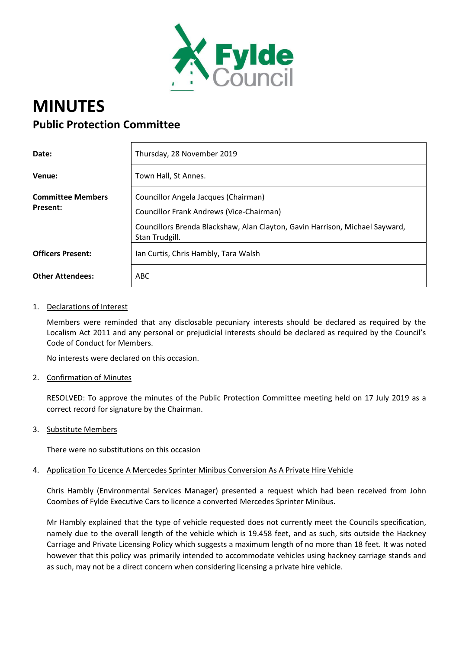

# **MINUTES Public Protection Committee**

| Date:                                | Thursday, 28 November 2019                                                                     |
|--------------------------------------|------------------------------------------------------------------------------------------------|
| Venue:                               | Town Hall, St Annes.                                                                           |
| <b>Committee Members</b><br>Present: | Councillor Angela Jacques (Chairman)<br>Councillor Frank Andrews (Vice-Chairman)               |
|                                      | Councillors Brenda Blackshaw, Alan Clayton, Gavin Harrison, Michael Sayward,<br>Stan Trudgill. |
| <b>Officers Present:</b>             | Ian Curtis, Chris Hambly, Tara Walsh                                                           |
| <b>Other Attendees:</b>              | <b>ABC</b>                                                                                     |

## 1. Declarations of Interest

Members were reminded that any disclosable pecuniary interests should be declared as required by the Localism Act 2011 and any personal or prejudicial interests should be declared as required by the Council's Code of Conduct for Members.

No interests were declared on this occasion.

2. Confirmation of Minutes

RESOLVED: To approve the minutes of the Public Protection Committee meeting held on 17 July 2019 as a correct record for signature by the Chairman.

3. Substitute Members

There were no substitutions on this occasion

#### 4. Application To Licence A Mercedes Sprinter Minibus Conversion As A Private Hire Vehicle

Chris Hambly (Environmental Services Manager) presented a request which had been received from John Coombes of Fylde Executive Cars to licence a converted Mercedes Sprinter Minibus.

Mr Hambly explained that the type of vehicle requested does not currently meet the Councils specification, namely due to the overall length of the vehicle which is 19.458 feet, and as such, sits outside the Hackney Carriage and Private Licensing Policy which suggests a maximum length of no more than 18 feet. It was noted however that this policy was primarily intended to accommodate vehicles using hackney carriage stands and as such, may not be a direct concern when considering licensing a private hire vehicle.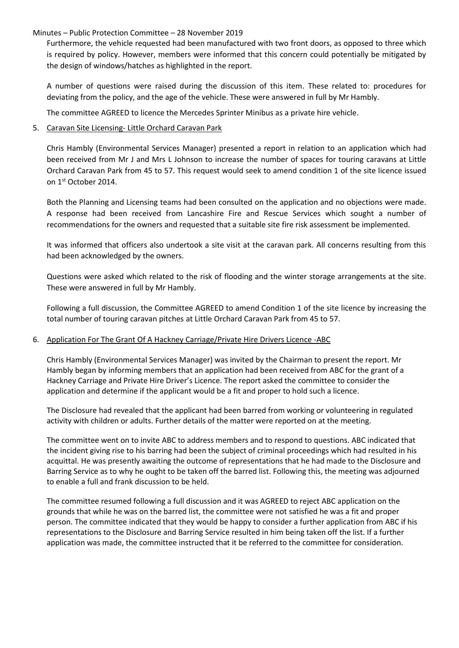#### Minutes – Public Protection Committee – 28 November 2019

Furthermore, the vehicle requested had been manufactured with two front doors, as opposed to three which is required by policy. However, members were informed that this concern could potentially be mitigated by the design of windows/hatches as highlighted in the report.

A number of questions were raised during the discussion of this item. These related to: procedures for deviating from the policy, and the age of the vehicle. These were answered in full by Mr Hambly.

The committee AGREED to licence the Mercedes Sprinter Minibus as a private hire vehicle.

## 5. Caravan Site Licensing- Little Orchard Caravan Park

Chris Hambly (Environmental Services Manager) presented a report in relation to an application which had been received from Mr J and Mrs L Johnson to increase the number of spaces for touring caravans at Little Orchard Caravan Park from 45 to 57. This request would seek to amend condition 1 of the site licence issued on 1st October 2014.

Both the Planning and Licensing teams had been consulted on the application and no objections were made. A response had been received from Lancashire Fire and Rescue Services which sought a number of recommendations for the owners and requested that a suitable site fire risk assessment be implemented.

It was informed that officers also undertook a site visit at the caravan park. All concerns resulting from this had been acknowledged by the owners.

Questions were asked which related to the risk of flooding and the winter storage arrangements at the site. These were answered in full by Mr Hambly.

Following a full discussion, the Committee AGREED to amend Condition 1 of the site licence by increasing the total number of touring caravan pitches at Little Orchard Caravan Park from 45 to 57.

# 6. Application For The Grant Of A Hackney Carriage/Private Hire Drivers Licence -ABC

Chris Hambly (Environmental Services Manager) was invited by the Chairman to present the report. Mr Hambly began by informing members that an application had been received from ABC for the grant of a Hackney Carriage and Private Hire Driver's Licence. The report asked the committee to consider the application and determine if the applicant would be a fit and proper to hold such a licence.

The Disclosure had revealed that the applicant had been barred from working or volunteering in regulated activity with children or adults. Further details of the matter were reported on at the meeting.

The committee went on to invite ABC to address members and to respond to questions. ABC indicated that the incident giving rise to his barring had been the subject of criminal proceedings which had resulted in his acquittal. He was presently awaiting the outcome of representations that he had made to the Disclosure and Barring Service as to why he ought to be taken off the barred list. Following this, the meeting was adjourned to enable a full and frank discussion to be held.

The committee resumed following a full discussion and it was AGREED to reject ABC application on the grounds that while he was on the barred list, the committee were not satisfied he was a fit and proper person. The committee indicated that they would be happy to consider a further application from ABC if his representations to the Disclosure and Barring Service resulted in him being taken off the list. If a further application was made, the committee instructed that it be referred to the committee for consideration.